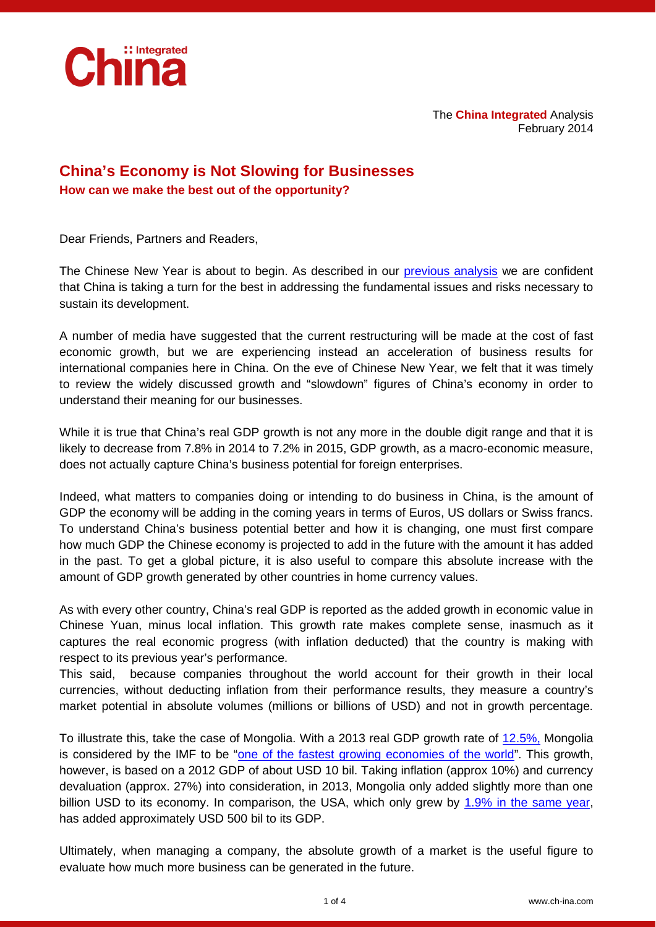

The **China Integrated** Analysis February 2014

## **China's Economy is Not Slowing for Businesses How can we make the best out of the opportunity?**

Dear Friends, Partners and Readers,

The Chinese New Year is about to begin. As described in our [previous analysis](http://www.ch-ina.com/Upload/Files/2014%20China%20at%20a%20Turning%20Point%20Analysis%20Letter%20FINAL%20-%206%20Jan%202014%20-%20nm%20dl.pdf) we are confident that China is taking a turn for the best in addressing the fundamental issues and risks necessary to sustain its development.

A number of media have suggested that the current restructuring will be made at the cost of fast economic growth, but we are experiencing instead an acceleration of business results for international companies here in China. On the eve of Chinese New Year, we felt that it was timely to review the widely discussed growth and "slowdown" figures of China's economy in order to understand their meaning for our businesses.

While it is true that China's real GDP growth is not any more in the double digit range and that it is likely to decrease from 7.8% in 2014 to 7.2% in 2015, GDP growth, as a macro-economic measure, does not actually capture China's business potential for foreign enterprises.

Indeed, what matters to companies doing or intending to do business in China, is the amount of GDP the economy will be adding in the coming years in terms of Euros, US dollars or Swiss francs. To understand China's business potential better and how it is changing, one must first compare how much GDP the Chinese economy is projected to add in the future with the amount it has added in the past. To get a global picture, it is also useful to compare this absolute increase with the amount of GDP growth generated by other countries in home currency values.

As with every other country, China's real GDP is reported as the added growth in economic value in Chinese Yuan, minus local inflation. This growth rate makes complete sense, inasmuch as it captures the real economic progress (with inflation deducted) that the country is making with respect to its previous year's performance.

This said, because companies throughout the world account for their growth in their local currencies, without deducting inflation from their performance results, they measure a country's market potential in absolute volumes (millions or billions of USD) and not in growth percentage.

To illustrate this, take the case of Mongolia. With a 2013 real GDP growth rate of [12.](https://www.imf.org/external/np/sec/pr/2013/pr13394.htm)5%, Mongolia is considered by the IMF to be ["one of the fastest growing economies of the world"](https://www.imf.org/external/np/sec/pr/2013/pr13394.htm). This growth, however, is based on a 2012 GDP of about USD 10 bil. Taking inflation (approx 10%) and currency devaluation (approx. 27%) into consideration, in 2013, Mongolia only added slightly more than one billion USD to its economy. In comparison, the USA, which only grew by 1.9% in the same year, has added approximately USD 500 bil to its GDP.

Ultimately, when managing a company, the absolute growth of a market is the useful figure to evaluate how much more business can be generated in the future.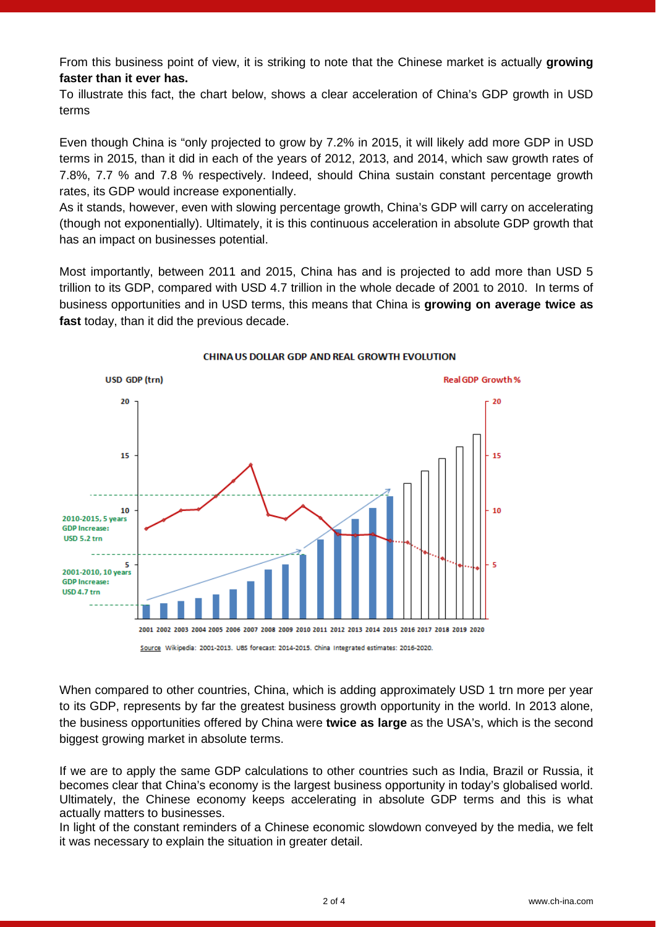From this business point of view, it is striking to note that the Chinese market is actually **growing faster than it ever has.** 

To illustrate this fact, the chart below, shows a clear acceleration of China's GDP growth in USD terms

Even though China is "only projected to grow by 7.2% in 2015, it will likely add more GDP in USD terms in 2015, than it did in each of the years of 2012, 2013, and 2014, which saw growth rates of 7.8%, 7.7 % and 7.8 % respectively. Indeed, should China sustain constant percentage growth rates, its GDP would increase exponentially.

As it stands, however, even with slowing percentage growth, China's GDP will carry on accelerating (though not exponentially). Ultimately, it is this continuous acceleration in absolute GDP growth that has an impact on businesses potential.

Most importantly, between 2011 and 2015, China has and is projected to add more than USD 5 trillion to its GDP, compared with USD 4.7 trillion in the whole decade of 2001 to 2010. In terms of business opportunities and in USD terms, this means that China is **growing on average twice as fast** today, than it did the previous decade.



#### CHINA US DOLLAR GDP AND REAL GROWTH EVOLUTION

When compared to other countries, China, which is adding approximately USD 1 trn more per year to its GDP, represents by far the greatest business growth opportunity in the world. In 2013 alone, the business opportunities offered by China were **twice as large** as the USA's, which is the second biggest growing market in absolute terms.

If we are to apply the same GDP calculations to other countries such as India, Brazil or Russia, it becomes clear that China's economy is the largest business opportunity in today's globalised world. Ultimately, the Chinese economy keeps accelerating in absolute GDP terms and this is what actually matters to businesses.

In light of the constant reminders of a Chinese economic slowdown conveyed by the media, we felt it was necessary to explain the situation in greater detail.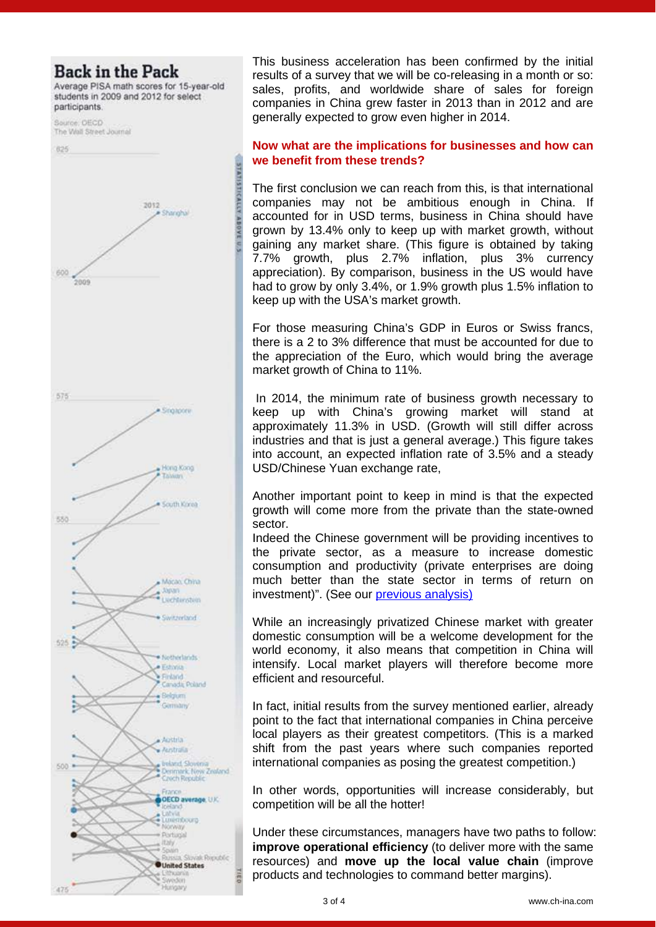# **Back in the Pack**

Average PISA math scores for 15-year-old students in 2009 and 2012 for select participants.

SYATISTICALEY ABOVE



This business acceleration has been confirmed by the initial results of a survey that we will be co-releasing in a month or so: sales, profits, and worldwide share of sales for foreign companies in China grew faster in 2013 than in 2012 and are generally expected to grow even higher in 2014.

#### **Now what are the implications for businesses and how can we benefit from these trends?**

The first conclusion we can reach from this, is that international companies may not be ambitious enough in China. If accounted for in USD terms, business in China should have grown by 13.4% only to keep up with market growth, without gaining any market share. (This figure is obtained by taking 7.7% growth, plus 2.7% inflation, plus 3% currency appreciation). By comparison, business in the US would have had to grow by only 3.4%, or 1.9% growth plus 1.5% inflation to keep up with the USA's market growth.

For those measuring China's GDP in Euros or Swiss francs, there is a 2 to 3% difference that must be accounted for due to the appreciation of the Euro, which would bring the average market growth of China to 11%.

In 2014, the minimum rate of business growth necessary to keep up with China's growing market will stand at approximately 11.3% in USD. (Growth will still differ across industries and that is just a general average.) This figure takes into account, an expected inflation rate of 3.5% and a steady USD/Chinese Yuan exchange rate,

Another important point to keep in mind is that the expected growth will come more from the private than the state-owned sector.

Indeed the Chinese government will be providing incentives to the private sector, as a measure to increase domestic consumption and productivity (private enterprises are doing much better than the state sector in terms of return on investment)". (See our [previous analysis\)](http://www.ch-ina.com/Upload/Files/2014%20China%20at%20a%20Turning%20Point%20Analysis%20Letter%20FINAL%20-%206%20Jan%202014%20-%20nm%20dl.pdf)

While an increasingly privatized Chinese market with greater domestic consumption will be a welcome development for the world economy, it also means that competition in China will intensify. Local market players will therefore become more efficient and resourceful.

In fact, initial results from the survey mentioned earlier, already point to the fact that international companies in China perceive local players as their greatest competitors. (This is a marked shift from the past years where such companies reported international companies as posing the greatest competition.)

In other words, opportunities will increase considerably, but competition will be all the hotter!

Under these circumstances, managers have two paths to follow: **improve operational efficiency** (to deliver more with the same resources) and **move up the local value chain** (improve products and technologies to command better margins).